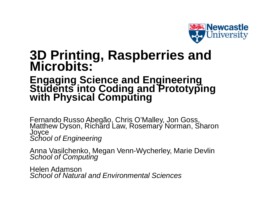

## **3D Printing, Raspberries and Microbits:**

### **Engaging Science and Engineering Students into Coding and Prototyping with Physical Computing**

Fernando Russo Abegão, Chris O'Malley, Jon Goss,<br>Matthew Dyson, Richard Law, Rosemary Norman, Sharon Joyce *School of Engineering*

Anna Vasilchenko, Megan Venn-Wycherley, Marie Devlin *School of Computing*

Helen Adamson *School of Natural and Environmental Sciences*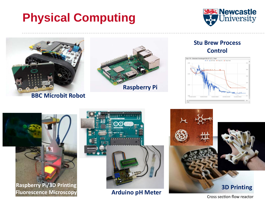# **Physical Computing**





**Raspberry Pi/3D Printing Fluorescence Microscopy**

**Arduino pH Meter 3D Printing**<br>Cross section flow reactor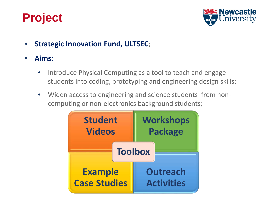## **Project**



- **Strategic Innovation Fund, ULTSEC**;
- **Aims:**
	- Introduce Physical Computing as a tool to teach and engage students into coding, prototyping and engineering design skills;
	- Widen access to engineering and science students from noncomputing or non-electronics background students;

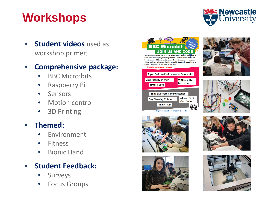# **Workshops**



• **Student videos** used as workshop primer;

### • **Comprehensive package:**

- **BBC Micro:bits**
- Raspberry Pi
- Sensors
- Motion control
- 3D Printing

#### • **Themed:**

- **Environment**
- Fitness
- Bionic Hand

#### • **Student Feedback:**

- **Surveys**
- **Focus Groups**













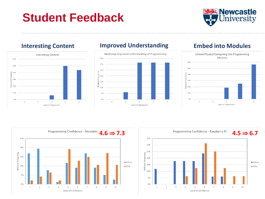## **Student Feedback**





#### **Interesting Content Improved Understanding Embed into Modules**





Level of Agreement